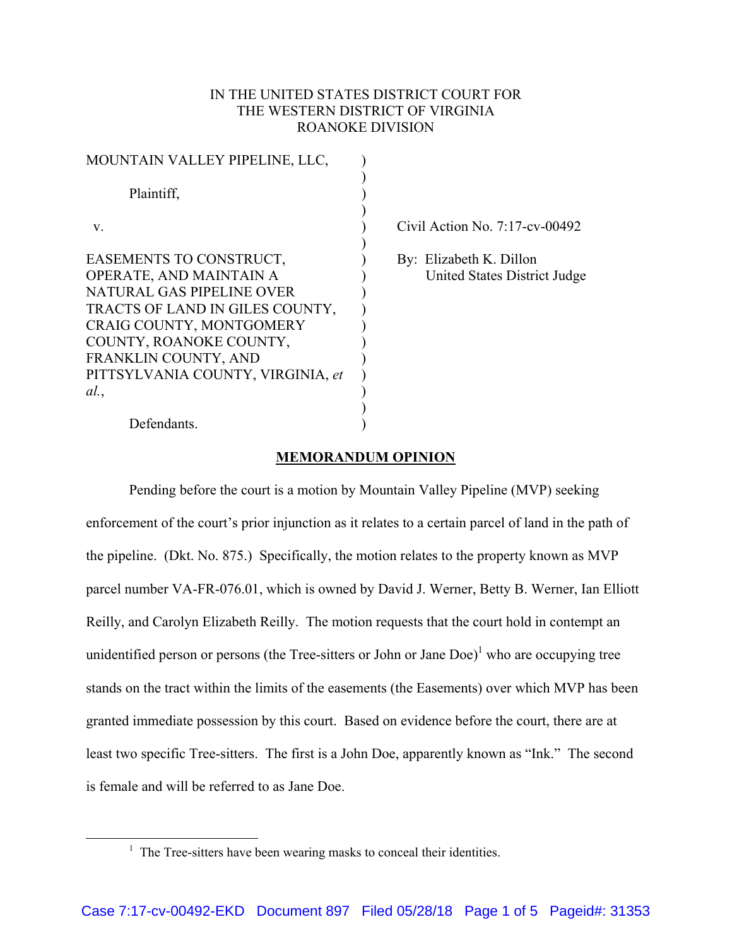## IN THE UNITED STATES DISTRICT COURT FOR THE WESTERN DISTRICT OF VIRGINIA ROANOKE DIVISION

| MOUNTAIN VALLEY PIPELINE, LLC,                                                                                                                                                                                                                |  |
|-----------------------------------------------------------------------------------------------------------------------------------------------------------------------------------------------------------------------------------------------|--|
| Plaintiff,                                                                                                                                                                                                                                    |  |
| V                                                                                                                                                                                                                                             |  |
| EASEMENTS TO CONSTRUCT,<br>OPERATE, AND MAINTAIN A<br>NATURAL GAS PIPELINE OVER<br>TRACTS OF LAND IN GILES COUNTY,<br>CRAIG COUNTY, MONTGOMERY<br>COUNTY, ROANOKE COUNTY,<br>FRANKLIN COUNTY, AND<br>PITTSYLVANIA COUNTY, VIRGINIA, et<br>al. |  |
|                                                                                                                                                                                                                                               |  |

Civil Action No.  $7:17$ -cv-00492

 By: Elizabeth K. Dillon United States District Judge

## Defendants.

## **MEMORANDUM OPINION**

 $\lambda$ 

Pending before the court is a motion by Mountain Valley Pipeline (MVP) seeking enforcement of the court's prior injunction as it relates to a certain parcel of land in the path of the pipeline. (Dkt. No. 875.) Specifically, the motion relates to the property known as MVP parcel number VA-FR-076.01, which is owned by David J. Werner, Betty B. Werner, Ian Elliott Reilly, and Carolyn Elizabeth Reilly. The motion requests that the court hold in contempt an unidentified person or persons (the Tree-sitters or John or Jane  $\text{Doe}$ )<sup>1</sup> who are occupying tree stands on the tract within the limits of the easements (the Easements) over which MVP has been granted immediate possession by this court. Based on evidence before the court, there are at least two specific Tree-sitters. The first is a John Doe, apparently known as "Ink." The second is female and will be referred to as Jane Doe.

 <sup>1</sup> The Tree-sitters have been wearing masks to conceal their identities.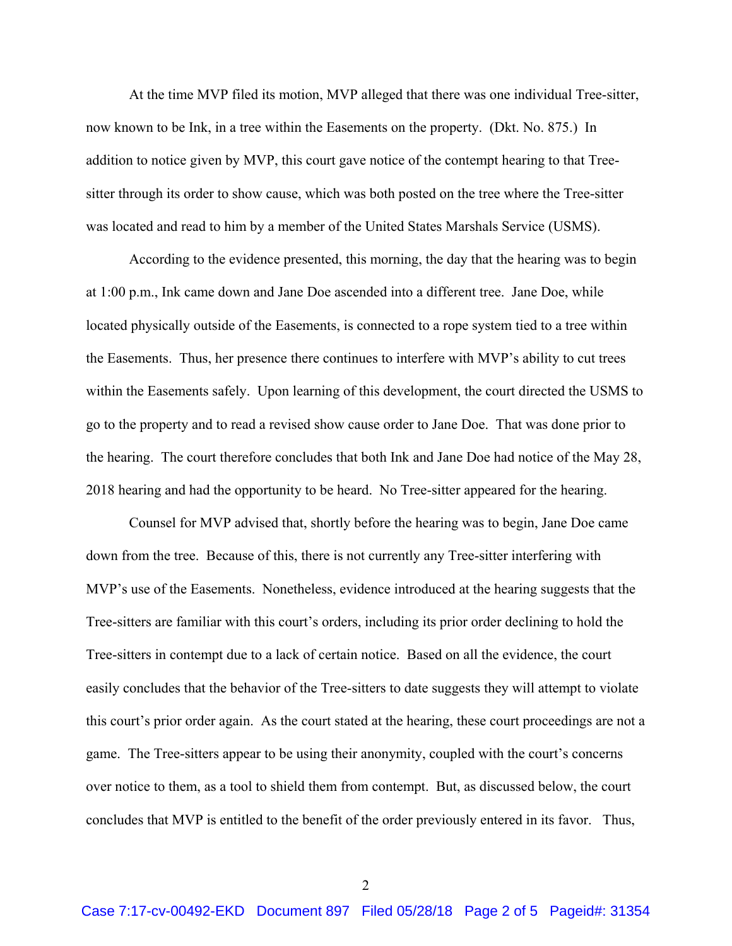At the time MVP filed its motion, MVP alleged that there was one individual Tree-sitter, now known to be Ink, in a tree within the Easements on the property. (Dkt. No. 875.) In addition to notice given by MVP, this court gave notice of the contempt hearing to that Treesitter through its order to show cause, which was both posted on the tree where the Tree-sitter was located and read to him by a member of the United States Marshals Service (USMS).

According to the evidence presented, this morning, the day that the hearing was to begin at 1:00 p.m., Ink came down and Jane Doe ascended into a different tree. Jane Doe, while located physically outside of the Easements, is connected to a rope system tied to a tree within the Easements. Thus, her presence there continues to interfere with MVP's ability to cut trees within the Easements safely. Upon learning of this development, the court directed the USMS to go to the property and to read a revised show cause order to Jane Doe. That was done prior to the hearing. The court therefore concludes that both Ink and Jane Doe had notice of the May 28, 2018 hearing and had the opportunity to be heard. No Tree-sitter appeared for the hearing.

Counsel for MVP advised that, shortly before the hearing was to begin, Jane Doe came down from the tree. Because of this, there is not currently any Tree-sitter interfering with MVP's use of the Easements. Nonetheless, evidence introduced at the hearing suggests that the Tree-sitters are familiar with this court's orders, including its prior order declining to hold the Tree-sitters in contempt due to a lack of certain notice. Based on all the evidence, the court easily concludes that the behavior of the Tree-sitters to date suggests they will attempt to violate this court's prior order again. As the court stated at the hearing, these court proceedings are not a game. The Tree-sitters appear to be using their anonymity, coupled with the court's concerns over notice to them, as a tool to shield them from contempt. But, as discussed below, the court concludes that MVP is entitled to the benefit of the order previously entered in its favor. Thus,

2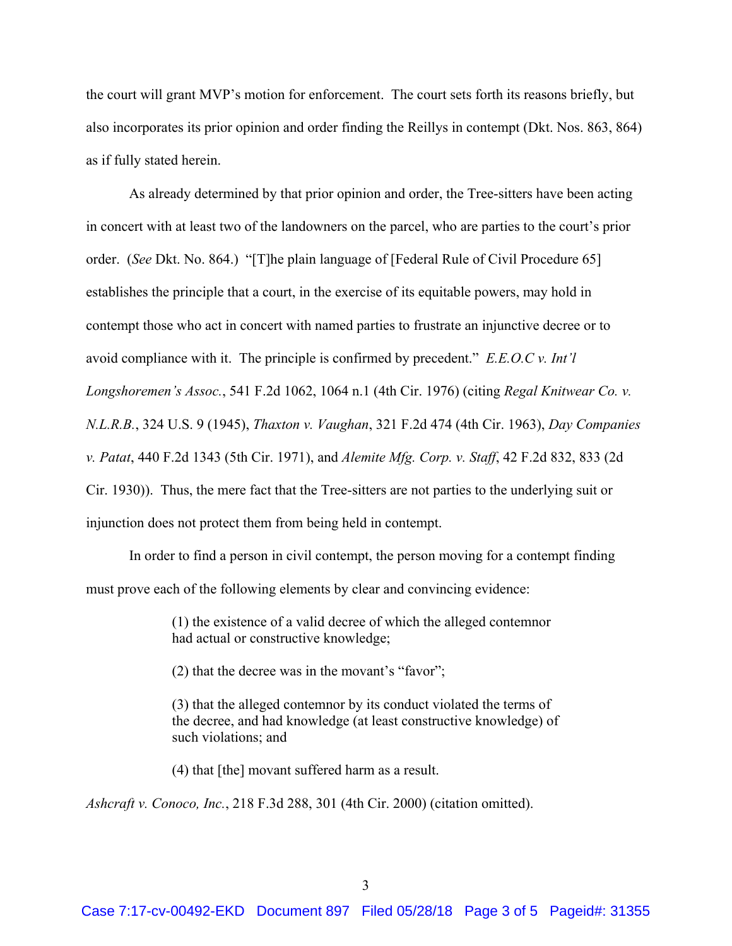the court will grant MVP's motion for enforcement. The court sets forth its reasons briefly, but also incorporates its prior opinion and order finding the Reillys in contempt (Dkt. Nos. 863, 864) as if fully stated herein.

As already determined by that prior opinion and order, the Tree-sitters have been acting in concert with at least two of the landowners on the parcel, who are parties to the court's prior order. (*See* Dkt. No. 864.) "[T]he plain language of [Federal Rule of Civil Procedure 65] establishes the principle that a court, in the exercise of its equitable powers, may hold in contempt those who act in concert with named parties to frustrate an injunctive decree or to avoid compliance with it. The principle is confirmed by precedent." *E.E.O.C v. Int'l Longshoremen's Assoc.*, 541 F.2d 1062, 1064 n.1 (4th Cir. 1976) (citing *Regal Knitwear Co. v. N.L.R.B.*, 324 U.S. 9 (1945), *Thaxton v. Vaughan*, 321 F.2d 474 (4th Cir. 1963), *Day Companies v. Patat*, 440 F.2d 1343 (5th Cir. 1971), and *Alemite Mfg. Corp. v. Staff*, 42 F.2d 832, 833 (2d Cir. 1930)). Thus, the mere fact that the Tree-sitters are not parties to the underlying suit or injunction does not protect them from being held in contempt.

In order to find a person in civil contempt, the person moving for a contempt finding must prove each of the following elements by clear and convincing evidence:

> (1) the existence of a valid decree of which the alleged contemnor had actual or constructive knowledge;

(2) that the decree was in the movant's "favor";

(3) that the alleged contemnor by its conduct violated the terms of the decree, and had knowledge (at least constructive knowledge) of such violations; and

(4) that [the] movant suffered harm as a result.

*Ashcraft v. Conoco, Inc.*, 218 F.3d 288, 301 (4th Cir. 2000) (citation omitted).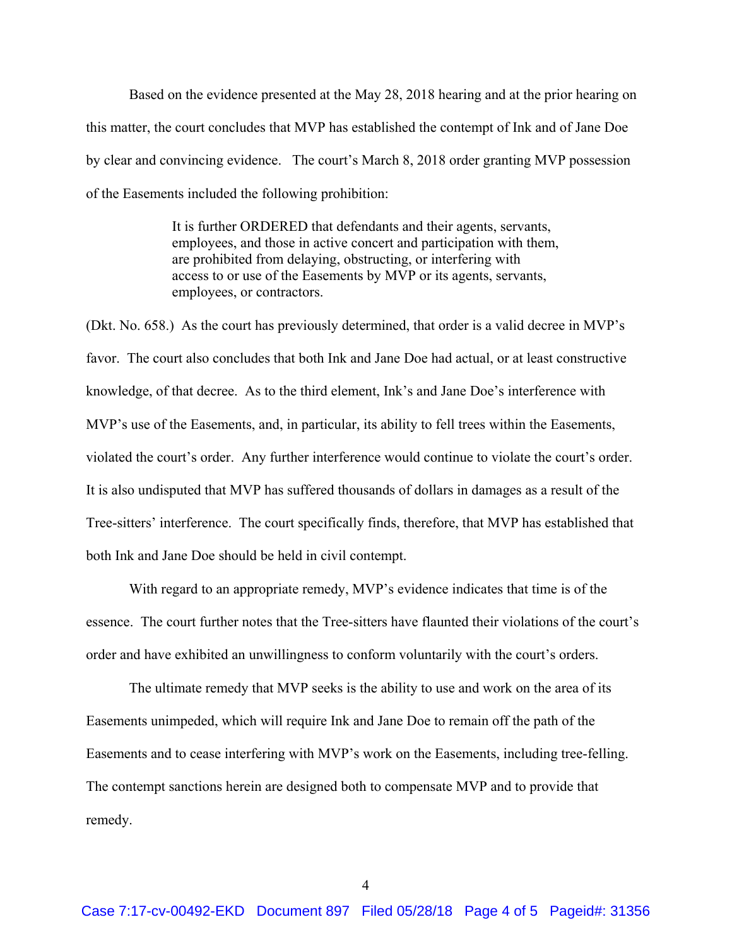Based on the evidence presented at the May 28, 2018 hearing and at the prior hearing on this matter, the court concludes that MVP has established the contempt of Ink and of Jane Doe by clear and convincing evidence. The court's March 8, 2018 order granting MVP possession of the Easements included the following prohibition:

> It is further ORDERED that defendants and their agents, servants, employees, and those in active concert and participation with them, are prohibited from delaying, obstructing, or interfering with access to or use of the Easements by MVP or its agents, servants, employees, or contractors.

(Dkt. No. 658.) As the court has previously determined, that order is a valid decree in MVP's favor. The court also concludes that both Ink and Jane Doe had actual, or at least constructive knowledge, of that decree. As to the third element, Ink's and Jane Doe's interference with MVP's use of the Easements, and, in particular, its ability to fell trees within the Easements, violated the court's order. Any further interference would continue to violate the court's order. It is also undisputed that MVP has suffered thousands of dollars in damages as a result of the Tree-sitters' interference. The court specifically finds, therefore, that MVP has established that both Ink and Jane Doe should be held in civil contempt.

 With regard to an appropriate remedy, MVP's evidence indicates that time is of the essence. The court further notes that the Tree-sitters have flaunted their violations of the court's order and have exhibited an unwillingness to conform voluntarily with the court's orders.

The ultimate remedy that MVP seeks is the ability to use and work on the area of its Easements unimpeded, which will require Ink and Jane Doe to remain off the path of the Easements and to cease interfering with MVP's work on the Easements, including tree-felling. The contempt sanctions herein are designed both to compensate MVP and to provide that remedy.